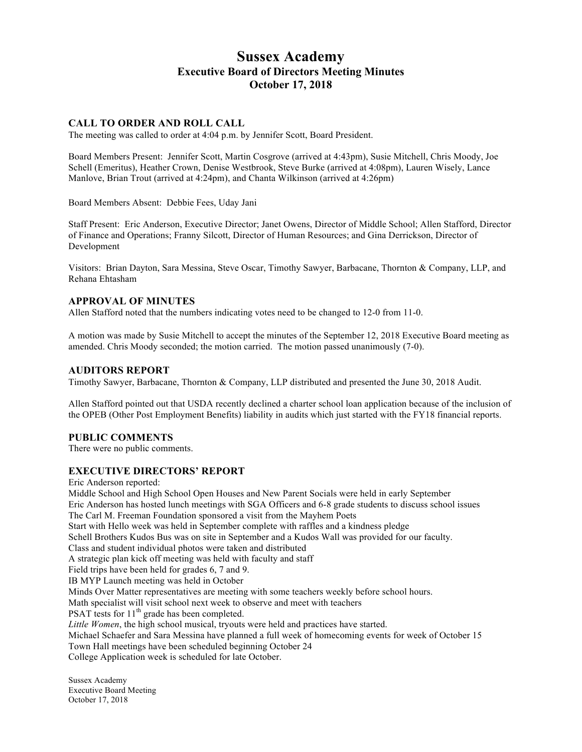# **Sussex Academy Executive Board of Directors Meeting Minutes October 17, 2018**

# **CALL TO ORDER AND ROLL CALL**

The meeting was called to order at 4:04 p.m. by Jennifer Scott, Board President.

Board Members Present: Jennifer Scott, Martin Cosgrove (arrived at 4:43pm), Susie Mitchell, Chris Moody, Joe Schell (Emeritus), Heather Crown, Denise Westbrook, Steve Burke (arrived at 4:08pm), Lauren Wisely, Lance Manlove, Brian Trout (arrived at 4:24pm), and Chanta Wilkinson (arrived at 4:26pm)

Board Members Absent: Debbie Fees, Uday Jani

Staff Present: Eric Anderson, Executive Director; Janet Owens, Director of Middle School; Allen Stafford, Director of Finance and Operations; Franny Silcott, Director of Human Resources; and Gina Derrickson, Director of Development

Visitors: Brian Dayton, Sara Messina, Steve Oscar, Timothy Sawyer, Barbacane, Thornton & Company, LLP, and Rehana Ehtasham

#### **APPROVAL OF MINUTES**

Allen Stafford noted that the numbers indicating votes need to be changed to 12-0 from 11-0.

A motion was made by Susie Mitchell to accept the minutes of the September 12, 2018 Executive Board meeting as amended. Chris Moody seconded; the motion carried. The motion passed unanimously (7-0).

# **AUDITORS REPORT**

Timothy Sawyer, Barbacane, Thornton & Company, LLP distributed and presented the June 30, 2018 Audit.

Allen Stafford pointed out that USDA recently declined a charter school loan application because of the inclusion of the OPEB (Other Post Employment Benefits) liability in audits which just started with the FY18 financial reports.

# **PUBLIC COMMENTS**

There were no public comments.

# **EXECUTIVE DIRECTORS' REPORT**

Eric Anderson reported: Middle School and High School Open Houses and New Parent Socials were held in early September Eric Anderson has hosted lunch meetings with SGA Officers and 6-8 grade students to discuss school issues The Carl M. Freeman Foundation sponsored a visit from the Mayhem Poets Start with Hello week was held in September complete with raffles and a kindness pledge Schell Brothers Kudos Bus was on site in September and a Kudos Wall was provided for our faculty. Class and student individual photos were taken and distributed A strategic plan kick off meeting was held with faculty and staff Field trips have been held for grades 6, 7 and 9. IB MYP Launch meeting was held in October Minds Over Matter representatives are meeting with some teachers weekly before school hours. Math specialist will visit school next week to observe and meet with teachers PSAT tests for  $11<sup>th</sup>$  grade has been completed. *Little Women*, the high school musical, tryouts were held and practices have started. Michael Schaefer and Sara Messina have planned a full week of homecoming events for week of October 15 Town Hall meetings have been scheduled beginning October 24 College Application week is scheduled for late October.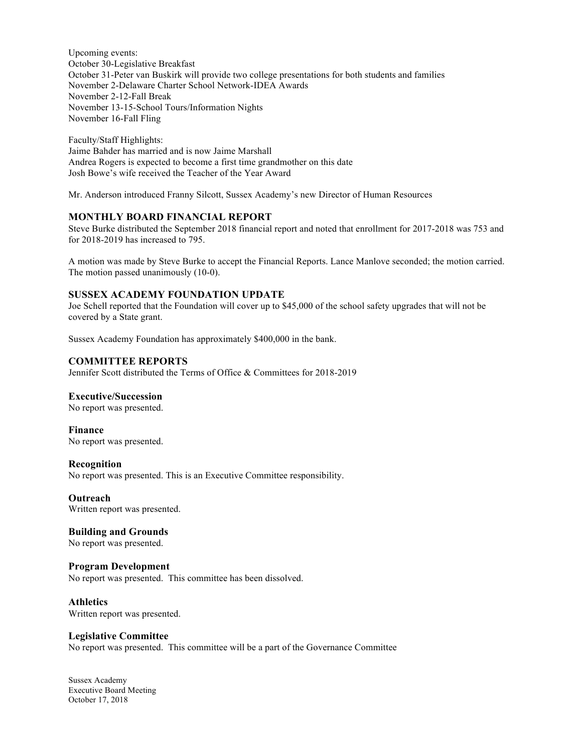Upcoming events: October 30-Legislative Breakfast October 31-Peter van Buskirk will provide two college presentations for both students and families November 2-Delaware Charter School Network-IDEA Awards November 2-12-Fall Break November 13-15-School Tours/Information Nights November 16-Fall Fling

Faculty/Staff Highlights: Jaime Bahder has married and is now Jaime Marshall Andrea Rogers is expected to become a first time grandmother on this date Josh Bowe's wife received the Teacher of the Year Award

Mr. Anderson introduced Franny Silcott, Sussex Academy's new Director of Human Resources

# **MONTHLY BOARD FINANCIAL REPORT**

Steve Burke distributed the September 2018 financial report and noted that enrollment for 2017-2018 was 753 and for 2018-2019 has increased to 795.

A motion was made by Steve Burke to accept the Financial Reports. Lance Manlove seconded; the motion carried. The motion passed unanimously (10-0).

# **SUSSEX ACADEMY FOUNDATION UPDATE**

Joe Schell reported that the Foundation will cover up to \$45,000 of the school safety upgrades that will not be covered by a State grant.

Sussex Academy Foundation has approximately \$400,000 in the bank.

#### **COMMITTEE REPORTS**

Jennifer Scott distributed the Terms of Office & Committees for 2018-2019

#### **Executive/Succession**

No report was presented.

**Finance** No report was presented.

#### **Recognition**

No report was presented. This is an Executive Committee responsibility.

**Outreach** Written report was presented.

# **Building and Grounds**

No report was presented.

# **Program Development**

No report was presented. This committee has been dissolved.

#### **Athletics**

Written report was presented.

#### **Legislative Committee**

No report was presented. This committee will be a part of the Governance Committee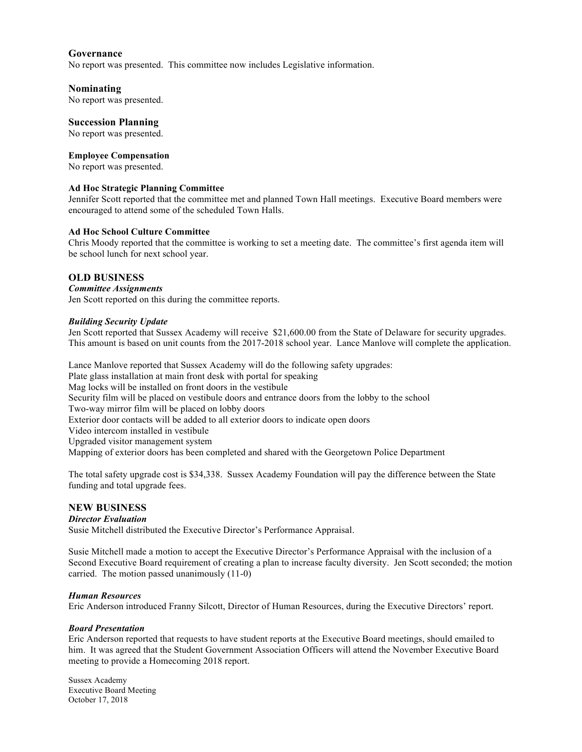# **Governance**

No report was presented. This committee now includes Legislative information.

#### **Nominating**

No report was presented.

#### **Succession Planning**

No report was presented.

# **Employee Compensation**

No report was presented.

### **Ad Hoc Strategic Planning Committee**

Jennifer Scott reported that the committee met and planned Town Hall meetings. Executive Board members were encouraged to attend some of the scheduled Town Halls.

#### **Ad Hoc School Culture Committee**

Chris Moody reported that the committee is working to set a meeting date. The committee's first agenda item will be school lunch for next school year.

# **OLD BUSINESS**

#### *Committee Assignments*

Jen Scott reported on this during the committee reports.

#### *Building Security Update*

Jen Scott reported that Sussex Academy will receive \$21,600.00 from the State of Delaware for security upgrades. This amount is based on unit counts from the 2017-2018 school year. Lance Manlove will complete the application.

Lance Manlove reported that Sussex Academy will do the following safety upgrades: Plate glass installation at main front desk with portal for speaking Mag locks will be installed on front doors in the vestibule Security film will be placed on vestibule doors and entrance doors from the lobby to the school Two-way mirror film will be placed on lobby doors Exterior door contacts will be added to all exterior doors to indicate open doors Video intercom installed in vestibule Upgraded visitor management system Mapping of exterior doors has been completed and shared with the Georgetown Police Department

The total safety upgrade cost is \$34,338. Sussex Academy Foundation will pay the difference between the State funding and total upgrade fees.

# **NEW BUSINESS**

#### *Director Evaluation*

Susie Mitchell distributed the Executive Director's Performance Appraisal.

Susie Mitchell made a motion to accept the Executive Director's Performance Appraisal with the inclusion of a Second Executive Board requirement of creating a plan to increase faculty diversity. Jen Scott seconded; the motion carried. The motion passed unanimously (11-0)

#### *Human Resources*

Eric Anderson introduced Franny Silcott, Director of Human Resources, during the Executive Directors' report.

# *Board Presentation*

Eric Anderson reported that requests to have student reports at the Executive Board meetings, should emailed to him. It was agreed that the Student Government Association Officers will attend the November Executive Board meeting to provide a Homecoming 2018 report.